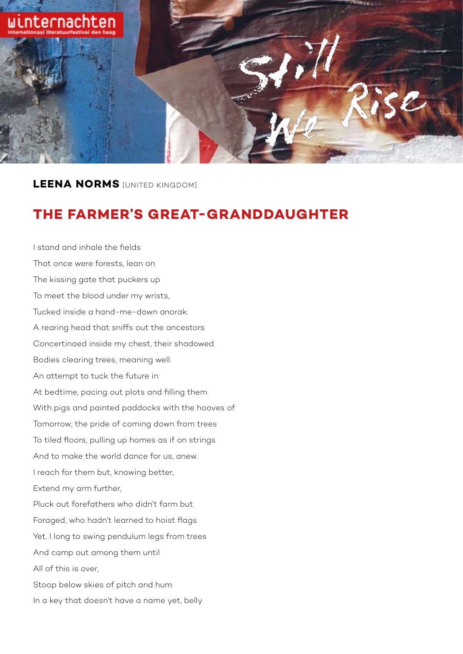

**LEENA NORMS** [UNITED KINGDOM]

## **THE FARMER'S GREAT-GRANDDAUGHTER**

I stand and inhale the fields That once were forests, lean on The kissing gate that puckers up To meet the blood under my wrists, Tucked inside a hand-me-down anorak: A rearing head that sniffs out the ancestors Concertinaed inside my chest, their shadowed Bodies clearing trees, meaning well. An attempt to tuck the future in At bedtime, pacing out plots and filling them With pigs and painted paddocks with the hooves of Tomorrow; the pride of coming down from trees To tiled floors, pulling up homes as if on strings And to make the world dance for us, anew. I reach for them but, knowing better, Extend my arm further, Pluck out forefathers who didn't farm but Foraged, who hadn't learned to hoist flags Yet. I long to swing pendulum legs from trees And camp out among them until All of this is over, Stoop below skies of pitch and hum In a key that doesn't have a name yet, belly